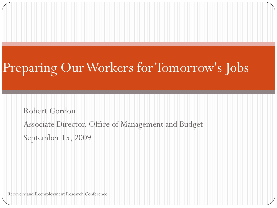# Preparing Our Workers for Tomorrow's Jobs

Robert Gordon Associate Director, Office of Management and Budget September 15, 2009

Recovery and Reemployment Research Conference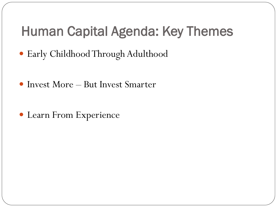#### Human Capital Agenda: Key Themes

- Early Childhood Through Adulthood
- Invest More But Invest Smarter
- Learn From Experience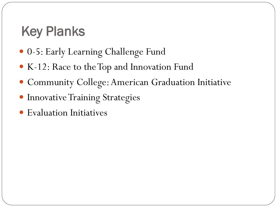#### Key Planks

- 0-5: Early Learning Challenge Fund
- K-12: Race to the Top and Innovation Fund
- Community College: American Graduation Initiative
- **Innovative Training Strategies**
- Evaluation Initiatives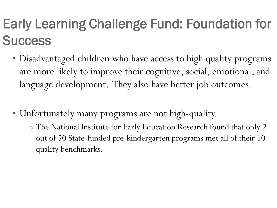## Early Learning Challenge Fund: Foundation for **Success**

- Disadvantaged children who have access to high quality programs are more likely to improve their cognitive, social, emotional, and language development. They also have better job outcomes.
- Unfortunately many programs are not high-quality.
	- o The National Institute for Early Education Research found that only 2 out of 50 State-funded pre-kindergarten programs met all of their 10 quality benchmarks.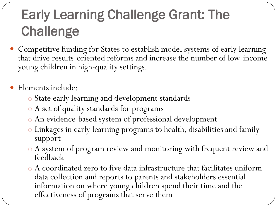# Early Learning Challenge Grant: The **Challenge**

 Competitive funding for States to establish model systems of early learning that drive results-oriented reforms and increase the number of low-income young children in high-quality settings.

• Elements include:

- o State early learning and development standards
- o A set of quality standards for programs
- o An evidence-based system of professional development
- o Linkages in early learning programs to health, disabilities and family support
- o A system of program review and monitoring with frequent review and feedback
- o A coordinated zero to five data infrastructure that facilitates uniform data collection and reports to parents and stakeholders essential information on where young children spend their time and the effectiveness of programs that serve them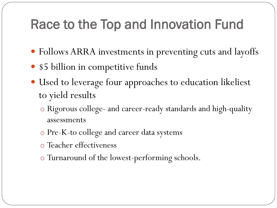#### Race to the Top and Innovation Fund

- Follows ARRA investments in preventing cuts and layoffs
- \$5 billion in competitive funds
- Used to leverage four approaches to education likeliest to yield results
	- o Rigorous college- and career-ready standards and high-quality assessments
	- o Pre-K-to college and career data systems
	- o Teacher effectiveness
	- o Turnaround of the lowest-performing schools.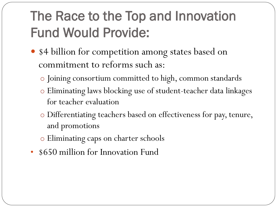## The Race to the Top and Innovation Fund Would Provide:

- \$4 billion for competition among states based on commitment to reforms such as:
	- o Joining consortium committed to high, common standards
	- o Eliminating laws blocking use of student-teacher data linkages for teacher evaluation
	- o Differentiating teachers based on effectiveness for pay, tenure, and promotions
	- o Eliminating caps on charter schools
- \$650 million for Innovation Fund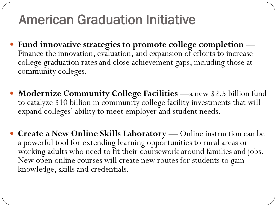### American Graduation Initiative

- **Fund innovative strategies to promote college completion —** Finance the innovation, evaluation, and expansion of efforts to increase college graduation rates and close achievement gaps, including those at community colleges.
- **Modernize Community College Facilities —**a new \$2.5 billion fund to catalyze \$10 billion in community college facility investments that will expand colleges' ability to meet employer and student needs.
- **Create a New Online Skills Laboratory —** Online instruction can be a powerful tool for extending learning opportunities to rural areas or working adults who need to fit their coursework around families and jobs. New open online courses will create new routes for students to gain knowledge, skills and credentials.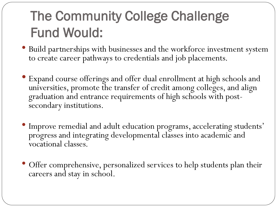## The Community College Challenge Fund Would:

- Build partnerships with businesses and the workforce investment system to create career pathways to credentials and job placements.
- Expand course offerings and offer dual enrollment at high schools and universities, promote the transfer of credit among colleges, and align graduation and entrance requirements of high schools with postsecondary institutions.
- Improve remedial and adult education programs, accelerating students' progress and integrating developmental classes into academic and vocational classes.
- Offer comprehensive, personalized services to help students plan their careers and stay in school.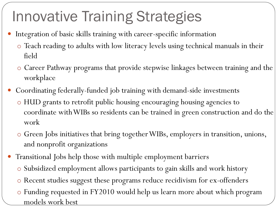# Innovative Training Strategies

- Integration of basic skills training with career-specific information
	- o Teach reading to adults with low literacy levels using technical manuals in their field
	- o Career Pathway programs that provide stepwise linkages between training and the workplace
- Coordinating federally-funded job training with demand-side investments
	- o HUD grants to retrofit public housing encouraging housing agencies to coordinate with WIBs so residents can be trained in green construction and do the work
	- o Green Jobs initiatives that bring together WIBs, employers in transition, unions, and nonprofit organizations
- Transitional Jobs help those with multiple employment barriers
	- o Subsidized employment allows participants to gain skills and work history
	- o Recent studies suggest these programs reduce recidivism for ex-offenders
	- o Funding requested in FY2010 would help us learn more about which program models work best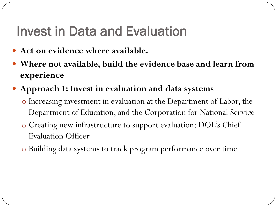#### Invest in Data and Evaluation

- **Act on evidence where available.**
- **Where not available, build the evidence base and learn from experience**
- **Approach 1: Invest in evaluation and data systems** 
	- o Increasing investment in evaluation at the Department of Labor, the Department of Education, and the Corporation for National Service
	- o Creating new infrastructure to support evaluation: DOL's Chief Evaluation Officer
	- o Building data systems to track program performance over time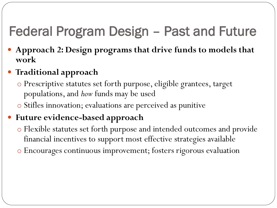## Federal Program Design – Past and Future

 **Approach 2: Design programs that drive funds to models that work** 

#### **Traditional approach**

- o Prescriptive statutes set forth purpose, eligible grantees, target populations, and *how* funds may be used
- o Stifles innovation; evaluations are perceived as punitive

#### **Future evidence-based approach**

- o Flexible statutes set forth purpose and intended outcomes and provide financial incentives to support most effective strategies available
- o Encourages continuous improvement; fosters rigorous evaluation